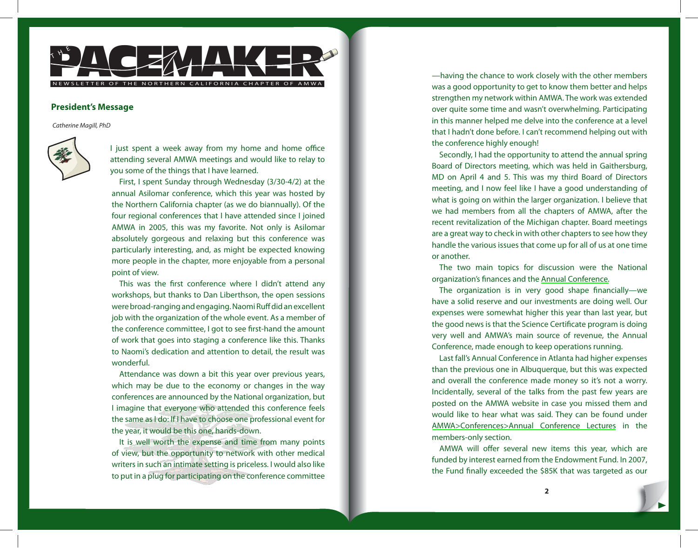

## **President's Message**

Catherine Magill, PhD



I just spent a week away from my home and home office attending several AMWA meetings and would like to relay to you some of the things that I have learned.

First, I spent Sunday through Wednesday (3/30-4/2) at the annual Asilomar conference, which this year was hosted by the Northern California chapter (as we do biannually). Of the four regional conferences that I have attended since I joined AMWA in 2005, this was my favorite. Not only is Asilomar absolutely gorgeous and relaxing but this conference was particularly interesting, and, as might be expected knowing more people in the chapter, more enjoyable from a personal point of view.

This was the first conference where I didn't attend any workshops, but thanks to Dan Liberthson, the open sessions were broad-ranging and engaging. Naomi Ruff did an excellent job with the organization of the whole event. As a member of the conference committee, I got to see first-hand the amount of work that goes into staging a conference like this. Thanks to Naomi's dedication and attention to detail, the result was wonderful.

Attendance was down a bit this year over previous years, which may be due to the economy or changes in the way conferences are announced by the National organization, but I imagine that everyone who attended this conference feels the same as I do: If I have to choose one professional event for the year, it would be this one, hands-down.

It is well worth the expense and time from many points of view, but the opportunity to network with other medical writers in such an intimate setting is priceless. I would also like to put in a plug for participating on the conference committee

—having the chance to work closely with the other members was a good opportunity to get to know them better and helps strengthen my network within AMWA. The work was extended over quite some time and wasn't overwhelming. Participating in this manner helped me delve into the conference at a level that I hadn't done before. I can't recommend helping out with the conference highly enough!

Secondly, I had the opportunity to attend the annual spring Board of Directors meeting, which was held in Gaithersburg, MD on April 4 and 5. This was my third Board of Directors meeting, and I now feel like I have a good understanding of what is going on within the larger organization. I believe that we had members from all the chapters of AMWA, after the recent revitalization of the Michigan chapter. Board meetings are a great way to check in with other chapters to see how they handle the various issues that come up for all of us at one time or another.

The two main topics for discussion were the National organization's finances and the [Annual Conference.](http://www.amwa.org/default.asp?id=398)

The organization is in very good shape financially—we have a solid reserve and our investments are doing well. Our expenses were somewhat higher this year than last year, but the good news is that the Science Certificate program is doing very well and AMWA's main source of revenue, the Annual Conference, made enough to keep operations running.

Last fall's Annual Conference in Atlanta had higher expenses than the previous one in Albuquerque, but this was expected and overall the conference made money so it's not a worry. Incidentally, several of the talks from the past few years are posted on the AMWA website in case you missed them and would like to hear what was said. They can be found under [AMWA>Conferences>Annual Conference Lectures](http://www.amwa.org/default.asp?id=350) in the members-only section.

AMWA will offer several new items this year, which are funded by interest earned from the Endowment Fund. In 2007, the Fund finally exceeded the \$85K that was targeted as our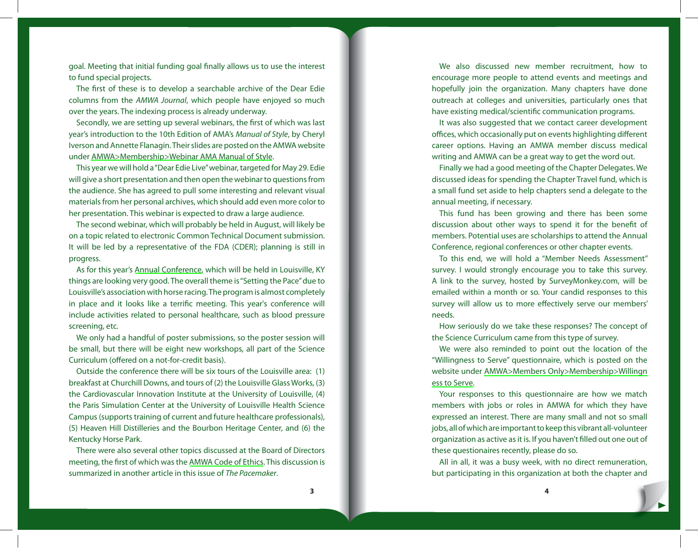goal. Meeting that initial funding goal finally allows us to use the interest to fund special projects.

The first of these is to develop a searchable archive of the Dear Edie columns from the AMWA Journal, which people have enjoyed so much over the years. The indexing process is already underway.

Secondly, we are setting up several webinars, the first of which was last year's introduction to the 10th Edition of AMA's Manual of Style, by Cheryl Iverson and Annette Flanagin. Their slides are posted on the AMWA website under [AMWA>Membership>Webinar AMA Manual of Style](http://www.amwa.org/default.asp?id=361).

This year we will hold a "Dear Edie Live" webinar, targeted for May 29. Edie will give a short presentation and then open the webinar to questions from the audience. She has agreed to pull some interesting and relevant visual materials from her personal archives, which should add even more color to her presentation. This webinar is expected to draw a large audience.

The second webinar, which will probably be held in August, will likely be on a topic related to electronic Common Technical Document submission. It will be led by a representative of the FDA (CDER); planning is still in progress.

As for this year's [Annual Conference,](http://www.amwa.org/default.asp?id=398) which will be held in Louisville, KY things are looking very good. The overall theme is "Setting the Pace" due to Louisville's association with horse racing. The program is almost completely in place and it looks like a terrific meeting. This year's conference will include activities related to personal healthcare, such as blood pressure screening, etc.

We only had a handful of poster submissions, so the poster session will be small, but there will be eight new workshops, all part of the Science Curriculum (offered on a not-for-credit basis).

Outside the conference there will be six tours of the Louisville area: (1) breakfast at Churchill Downs, and tours of (2) the Louisville Glass Works, (3) the Cardiovascular Innovation Institute at the University of Louisville, (4) the Paris Simulation Center at the University of Louisville Health Science Campus (supports training of current and future healthcare professionals), (5) Heaven Hill Distilleries and the Bourbon Heritage Center, and (6) the Kentucky Horse Park.

There were also several other topics discussed at the Board of Directors meeting, the first of which was the [AMWA Code of Ethics.](http://www.amwa.org/default.asp?id=114) This discussion is summarized in another article in this issue of The Pacemaker.

We also discussed new member recruitment, how to encourage more people to attend events and meetings and hopefully join the organization. Many chapters have done outreach at colleges and universities, particularly ones that have existing medical/scientific communication programs.

It was also suggested that we contact career development offices, which occasionally put on events highlighting different career options. Having an AMWA member discuss medical writing and AMWA can be a great way to get the word out.

Finally we had a good meeting of the Chapter Delegates. We discussed ideas for spending the Chapter Travel fund, which is a small fund set aside to help chapters send a delegate to the annual meeting, if necessary.

This fund has been growing and there has been some discussion about other ways to spend it for the benefit of members. Potential uses are scholarships to attend the Annual Conference, regional conferences or other chapter events.

To this end, we will hold a "Member Needs Assessment" survey. I would strongly encourage you to take this survey. A link to the survey, hosted by SurveyMonkey.com, will be emailed within a month or so. Your candid responses to this survey will allow us to more effectively serve our members' needs.

How seriously do we take these responses? The concept of the Science Curriculum came from this type of survey.

We were also reminded to point out the location of the "Willingness to Serve" questionnaire, which is posted on the website under [AMWA>Members Only>Membership>Willingn](http://www.amwa.org/default/members.only/wilingnesstoserve.pdf) [ess to Serve.](http://www.amwa.org/default/members.only/wilingnesstoserve.pdf)

Your responses to this questionnaire are how we match members with jobs or roles in AMWA for which they have expressed an interest. There are many small and not so small jobs, all of which are important to keep this vibrant all-volunteer organization as active as it is. If you haven't filled out one out of these questionaires recently, please do so.

All in all, it was a busy week, with no direct remuneration, but participating in this organization at both the chapter and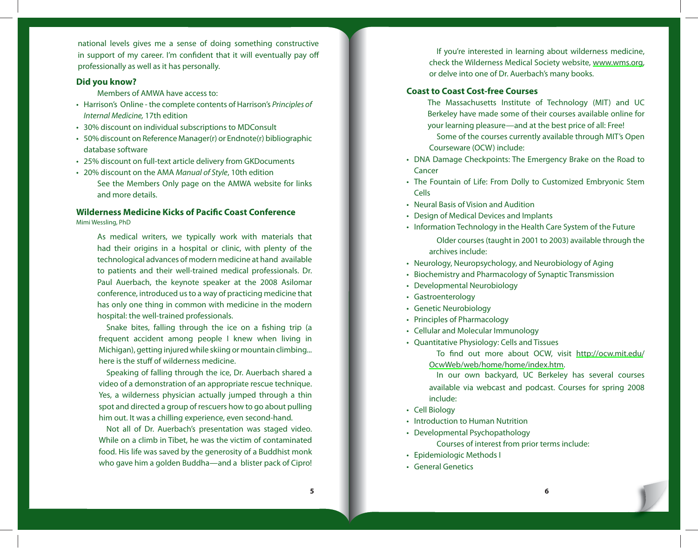national levels gives me a sense of doing something constructive in support of my career. I'm confident that it will eventually pay off professionally as well as it has personally.

## **Did you know?**

Members of AMWA have access to:

- Harrison's Online the complete contents of Harrison's Principles of Internal Medicine, 17th edition
- 30% discount on individual subscriptions to MDConsult •
- 50% discount on Reference Manager(r) or Endnote(r) bibliographic database software
- 25% discount on full-text article delivery from GKDocuments •
- 20% discount on the AMA Manual of Style, 10th edition See the Members Only page on the AMWA website for links and more details.

## **Wilderness Medicine Kicks of Pacific Coast Conference** Mimi Wessling, PhD

As medical writers, we typically work with materials that had their origins in a hospital or clinic, with plenty of the technological advances of modern medicine at hand available to patients and their well-trained medical professionals. Dr. Paul Auerbach, the keynote speaker at the 2008 Asilomar conference, introduced us to a way of practicing medicine that has only one thing in common with medicine in the modern hospital: the well-trained professionals.

Snake bites, falling through the ice on a fishing trip (a frequent accident among people I knew when living in Michigan), getting injured while skiing or mountain climbing... here is the stuff of wilderness medicine.

Speaking of falling through the ice, Dr. Auerbach shared a video of a demonstration of an appropriate rescue technique. Yes, a wilderness physician actually jumped through a thin spot and directed a group of rescuers how to go about pulling him out. It was a chilling experience, even second-hand.

Not all of Dr. Auerbach's presentation was staged video. While on a climb in Tibet, he was the victim of contaminated food. His life was saved by the generosity of a Buddhist monk who gave him a golden Buddha—and a blister pack of Cipro!

If you're interested in learning about wilderness medicine, check the Wilderness Medical Society website, [www.wms.org,](http://www.wms.org) or delve into one of Dr. Auerbach's many books.

# **Coast to Coast Cost-free Courses**

- The Massachusetts Institute of Technology (MIT) and UC Berkeley have made some of their courses available online for your learning pleasure—and at the best price of all: Free!
- Some of the courses currently available through MIT's Open Courseware (OCW) include:
- DNA Damage Checkpoints: The Emergency Brake on the Road to Cancer
- The Fountain of Life: From Dolly to Customized Embryonic Stem Cells
- Neural Basis of Vision and Audition
- Design of Medical Devices and Implants •
- Information Technology in the Health Care System of the Future Older courses (taught in 2001 to 2003) available through the archives include:
- Neurology, Neuropsychology, and Neurobiology of Aging •
- Biochemistry and Pharmacology of Synaptic Transmission
- Developmental Neurobiology •
- Gastroenterology •
- Genetic Neurobiology •
- Principles of Pharmacology
- Cellular and Molecular Immunology
- Quantitative Physiology: Cells and Tissues
	- To find out more about OCW, visit <http://ocw.mit.edu/> [OcwWeb/web/home/home/index.htm.](http://ocw.mit.edu/)
	- In our own backyard, UC Berkeley has several courses available via webcast and podcast. Courses for spring 2008 include:
- Cell Biology
- Introduction to Human Nutrition
- Developmental Psychopathology
	- Courses of interest from prior terms include:
- Epidemiologic Methods I
- General Genetics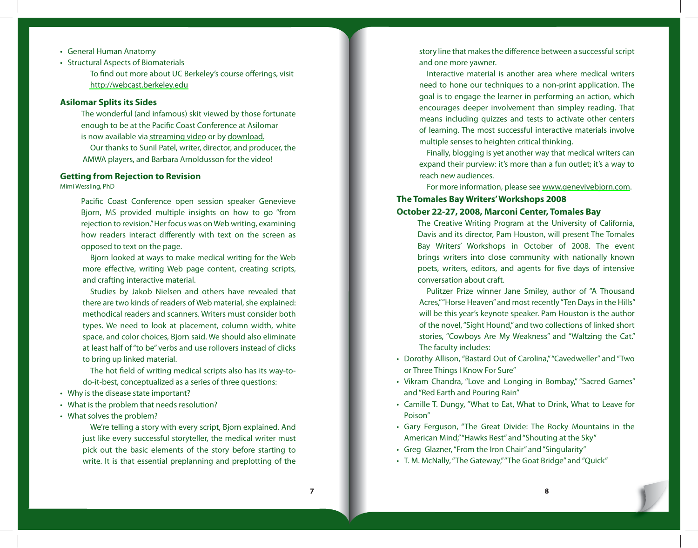- General Human Anatomy •
- Structural Aspects of Biomaterials

To find out more about UC Berkeley's course offerings, visit <http://webcast.berkeley.edu>

## **Asilomar Splits its Sides**

The wonderful (and infamous) skit viewed by those fortunate enough to be at the Pacific Coast Conference at Asilomar is now available via [streaming video](http://www.eatlime.com/play_5E862FD5-7887-7FD6-7581-5E380C5CDEF6) or by [download.](http://www.woofiles.com/dl-134397-ieifNjOM-WrikadoThe.avi)

Our thanks to Sunil Patel, writer, director, and producer, the AMWA players, and Barbara Arnoldusson for the video!

## **Getting from Rejection to Revision**

Mimi Wessling, PhD

Pacific Coast Conference open session speaker Genevieve Bjorn, MS provided multiple insights on how to go "from rejection to revision." Her focus was on Web writing, examining how readers interact differently with text on the screen as opposed to text on the page.

Bjorn looked at ways to make medical writing for the Web more effective, writing Web page content, creating scripts, and crafting interactive material.

Studies by Jakob Nielsen and others have revealed that there are two kinds of readers of Web material, she explained: methodical readers and scanners. Writers must consider both types. We need to look at placement, column width, white space, and color choices, Bjorn said. We should also eliminate at least half of "to be" verbs and use rollovers instead of clicks to bring up linked material.

The hot field of writing medical scripts also has its way-todo-it-best, conceptualized as a series of three questions:

- Why is the disease state important? •
- What is the problem that needs resolution? •

What solves the problem? •

We're telling a story with every script, Bjorn explained. And just like every successful storyteller, the medical writer must pick out the basic elements of the story before starting to write. It is that essential preplanning and preplotting of the

story line that makes the difference between a successful script and one more yawner.

Interactive material is another area where medical writers need to hone our techniques to a non-print application. The goal is to engage the learner in performing an action, which encourages deeper involvement than simpley reading. That means including quizzes and tests to activate other centers of learning. The most successful interactive materials involve multiple senses to heighten critical thinking.

Finally, blogging is yet another way that medical writers can expand their purview: it's more than a fun outlet; it's a way to reach new audiences.

For more information, please see [www.genevivebjorn.com.](www.genevivebjorn.com)

# **The Tomales Bay Writers' Workshops 2008 October 22-27, 2008, Marconi Center, Tomales Bay**

The Creative Writing Program at the University of California, Davis and its director, Pam Houston, will present The Tomales Bay Writers' Workshops in October of 2008. The event brings writers into close community with nationally known poets, writers, editors, and agents for five days of intensive conversation about craft.

Pulitzer Prize winner Jane Smiley, author of "A Thousand Acres," "Horse Heaven" and most recently "Ten Days in the Hills" will be this year's keynote speaker. Pam Houston is the author of the novel, "Sight Hound," and two collections of linked short stories, "Cowboys Are My Weakness" and "Waltzing the Cat." The faculty includes:

- Dorothy Allison, "Bastard Out of Carolina," "Cavedweller" and "Two or Three Things I Know For Sure"
- Vikram Chandra, "Love and Longing in Bombay," "Sacred Games" and "Red Earth and Pouring Rain"
- Camille T. Dungy, "What to Eat, What to Drink, What to Leave for Poison"
- Gary Ferguson, "The Great Divide: The Rocky Mountains in the American Mind," "Hawks Rest" and "Shouting at the Sky"
- Greg Glazner, "From the Iron Chair" and "Singularity"
- T. M. McNally, "The Gateway," "The Goat Bridge" and "Quick" •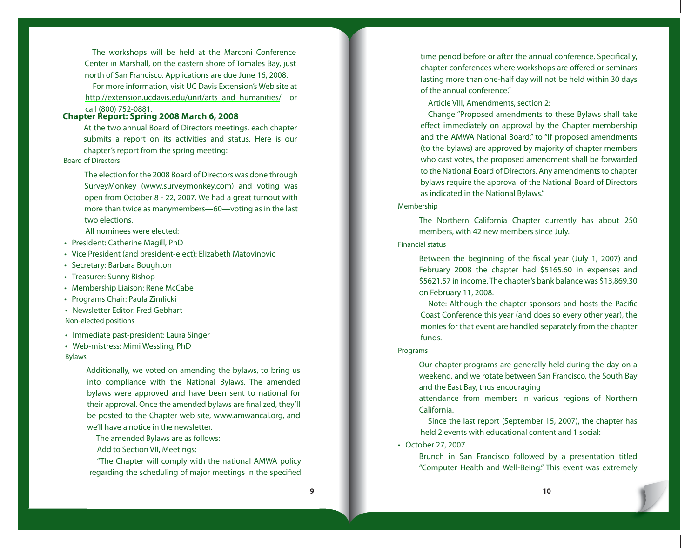The workshops will be held at the Marconi Conference Center in Marshall, on the eastern shore of Tomales Bay, just north of San Francisco. Applications are due June 16, 2008.

For more information, visit UC Davis Extension's Web site at [http://extension.ucdavis.edu/unit/arts\\_and\\_humanities/](http://extension.ucdavis.edu/unit/arts_and_humanities/) or

# call (800) 752-0881. **Chapter Report: Spring 2008 March 6, 2008**

At the two annual Board of Directors meetings, each chapter submits a report on its activities and status. Here is our chapter's report from the spring meeting:

## Board of Directors

The election for the 2008 Board of Directors was done through SurveyMonkey (www.surveymonkey.com) and voting was open from October 8 - 22, 2007. We had a great turnout with more than twice as manymembers—60—voting as in the last two elections.

All nominees were elected:

- President: Catherine Magill, PhD
- Vice President (and president-elect): Elizabeth Matovinovic
- Secretary: Barbara Boughton
- Treasurer: Sunny Bishop
- Membership Liaison: Rene McCabe
- Programs Chair: Paula Zimlicki
- Newsletter Editor: Fred Gebhart Non-elected positions
- Immediate past-president: Laura Singer
- Web-mistress: Mimi Wessling, PhD •

#### Bylaws

Additionally, we voted on amending the bylaws, to bring us into compliance with the National Bylaws. The amended bylaws were approved and have been sent to national for their approval. Once the amended bylaws are finalized, they'll be posted to the Chapter web site, www.amwancal.org, and we'll have a notice in the newsletter.

- The amended Bylaws are as follows:
- Add to Section VII, Meetings:

"The Chapter will comply with the national AMWA policy regarding the scheduling of major meetings in the specified

time period before or after the annual conference. Specifically, chapter conferences where workshops are offered or seminars lasting more than one-half day will not be held within 30 days of the annual conference."

Article VIII, Amendments, section 2:

Change "Proposed amendments to these Bylaws shall take effect immediately on approval by the Chapter membership and the AMWA National Board." to "If proposed amendments (to the bylaws) are approved by majority of chapter members who cast votes, the proposed amendment shall be forwarded to the National Board of Directors. Any amendments to chapter bylaws require the approval of the National Board of Directors as indicated in the National Bylaws."

#### Membership

The Northern California Chapter currently has about 250 members, with 42 new members since July.

### Financial status

Between the beginning of the fiscal year (July 1, 2007) and February 2008 the chapter had \$5165.60 in expenses and \$5621.57 in income. The chapter's bank balance was \$13,869.30 on February 11, 2008.

Note: Although the chapter sponsors and hosts the Pacific Coast Conference this year (and does so every other year), the monies for that event are handled separately from the chapter funds.

#### Programs

Our chapter programs are generally held during the day on a weekend, and we rotate between San Francisco, the South Bay and the East Bay, thus encouraging

attendance from members in various regions of Northern California.

Since the last report (September 15, 2007), the chapter has held 2 events with educational content and 1 social:

• October 27, 2007

Brunch in San Francisco followed by a presentation titled "Computer Health and Well-Being." This event was extremely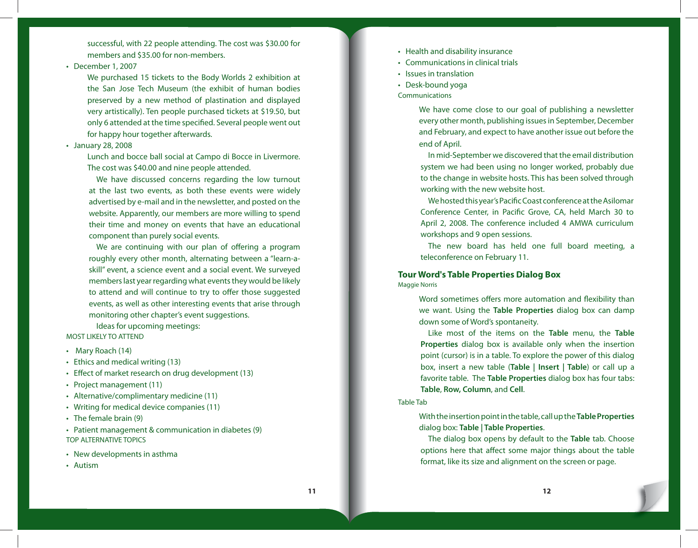successful, with 22 people attending. The cost was \$30.00 for members and \$35.00 for non-members.

#### • December 1, 2007

We purchased 15 tickets to the Body Worlds 2 exhibition at the San Jose Tech Museum (the exhibit of human bodies preserved by a new method of plastination and displayed very artistically). Ten people purchased tickets at \$19.50, but only 6 attended at the time specified. Several people went out for happy hour together afterwards.

#### January 28, 2008 •

Lunch and bocce ball social at Campo di Bocce in Livermore. The cost was \$40.00 and nine people attended.

We have discussed concerns regarding the low turnout at the last two events, as both these events were widely advertised by e-mail and in the newsletter, and posted on the website. Apparently, our members are more willing to spend their time and money on events that have an educational component than purely social events.

We are continuing with our plan of offering a program roughly every other month, alternating between a "learn-askill" event, a science event and a social event. We surveyed members last year regarding what events they would be likely to attend and will continue to try to offer those suggested events, as well as other interesting events that arise through monitoring other chapter's event suggestions.

Ideas for upcoming meetings: MOST LIKELY TO ATTEND

- Mary Roach (14)
- Ethics and medical writing (13) •
- Effect of market research on drug development (13)
- Project management (11)
- Alternative/complimentary medicine (11) •
- Writing for medical device companies (11) •
- The female brain (9) •
- Patient management & communication in diabetes (9) TOP ALTERNATIVE TOPICS
- New developments in asthma
- Autism •
- Health and disability insurance
- Communications in clinical trials •
- Issues in translation
- Desk-bound yoga
- **Communications**

We have come close to our goal of publishing a newsletter every other month, publishing issues in September, December and February, and expect to have another issue out before the end of April.

In mid-September we discovered that the email distribution system we had been using no longer worked, probably due to the change in website hosts. This has been solved through working with the new website host.

We hosted this year's Pacific Coast conference at the Asilomar Conference Center, in Pacific Grove, CA, held March 30 to April 2, 2008. The conference included 4 AMWA curriculum workshops and 9 open sessions.

The new board has held one full board meeting, a teleconference on February 11.

# **Tour Word's Table Properties Dialog Box**

Maggie Norris

Word sometimes offers more automation and flexibility than we want. Using the **Table Properties** dialog box can damp down some of Word's spontaneity.

Like most of the items on the **Table** menu, the **Table Properties** dialog box is available only when the insertion point (cursor) is in a table. To explore the power of this dialog box, insert a new table (**Table | Insert | Table**) or call up a favorite table. The **Table Properties** dialog box has four tabs: **Table**, **Row, Column**, and **Cell**.

#### Table Tab

With the insertion point in the table, call up the **Table Properties**  dialog box: **Table | Table Properties**.

The dialog box opens by default to the **Table** tab. Choose options here that affect some major things about the table format, like its size and alignment on the screen or page.

**11** 12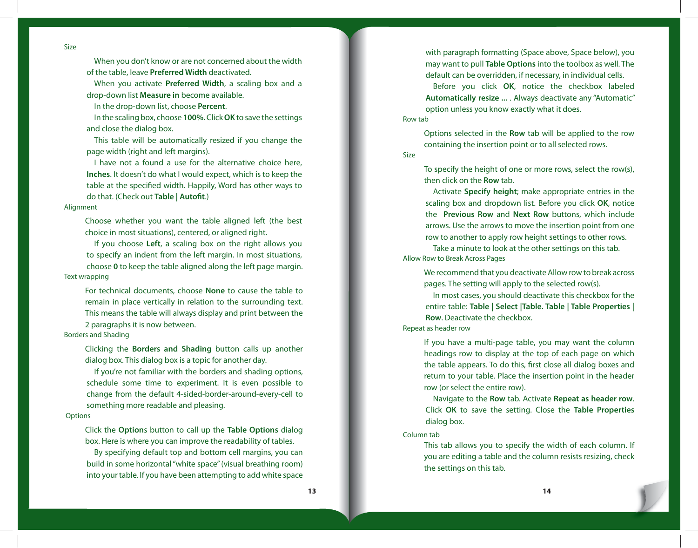Size

When you don't know or are not concerned about the width of the table, leave **Preferred Width** deactivated.

When you activate **Preferred Width**, a scaling box and a drop-down list **Measure in** become available.

In the drop-down list, choose **Percent**.

In the scaling box, choose **100%**. Click **OK** to save the settings and close the dialog box.

This table will be automatically resized if you change the page width (right and left margins).

I have not a found a use for the alternative choice here, **Inches**. It doesn't do what I would expect, which is to keep the table at the specified width. Happily, Word has other ways to do that. (Check out Table | Autofit.)

#### Alignment

Choose whether you want the table aligned left (the best choice in most situations), centered, or aligned right.

If you choose **Left**, a scaling box on the right allows you to specify an indent from the left margin. In most situations, choose **0** to keep the table aligned along the left page margin. Text wrapping

For technical documents, choose **None** to cause the table to remain in place vertically in relation to the surrounding text. This means the table will always display and print between the 2 paragraphs it is now between.

## Borders and Shading

Clicking the **Borders and Shading** button calls up another dialog box. This dialog box is a topic for another day.

If you're not familiar with the borders and shading options, schedule some time to experiment. It is even possible to change from the default 4-sided-border-around-every-cell to something more readable and pleasing.

## **Options**

Click the **Option**s button to call up the **Table Options** dialog box. Here is where you can improve the readability of tables.

By specifying default top and bottom cell margins, you can build in some horizontal "white space" (visual breathing room) into your table. If you have been attempting to add white space

with paragraph formatting (Space above, Space below), you may want to pull **Table Options** into the toolbox as well. The default can be overridden, if necessary, in individual cells.

Before you click **OK**, notice the checkbox labeled **Automatically resize ...** . Always deactivate any "Automatic" option unless you know exactly what it does. Row tab

Options selected in the **Row** tab will be applied to the row containing the insertion point or to all selected rows.

Size

To specify the height of one or more rows, select the row(s), then click on the **Row** tab.

Activate **Specify height**; make appropriate entries in the scaling box and dropdown list. Before you click **OK**, notice the **Previous Row** and **Next Row** buttons, which include arrows. Use the arrows to move the insertion point from one row to another to apply row height settings to other rows.

Take a minute to look at the other settings on this tab. Allow Row to Break Across Pages

We recommend that you deactivate Allow row to break across pages. The setting will apply to the selected row(s).

In most cases, you should deactivate this checkbox for the entire table: **Table | Select |Table. Table | Table Properties | Row**. Deactivate the checkbox.

## Repeat as header row

If you have a multi-page table, you may want the column headings row to display at the top of each page on which the table appears. To do this, first close all dialog boxes and return to your table. Place the insertion point in the header row (or select the entire row).

Navigate to the **Row** tab. Activate **Repeat as header row**. Click **OK** to save the setting. Close the **Table Properties** dialog box.

Column tab

This tab allows you to specify the width of each column. If you are editing a table and the column resists resizing, check the settings on this tab.